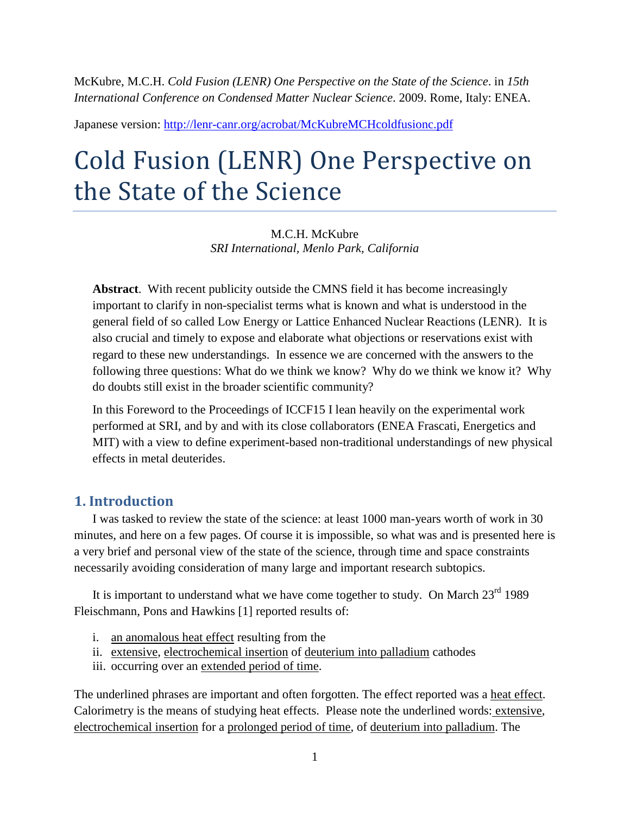McKubre, M.C.H. *Cold Fusion (LENR) One Perspective on the State of the Science*. in *15th International Conference on Condensed Matter Nuclear Science*. 2009. Rome, Italy: ENEA.

Japanese version: <http://lenr-canr.org/acrobat/McKubreMCHcoldfusionc.pdf>

# Cold Fusion (LENR) One Perspective on the State of the Science

M.C.H. McKubre *SRI International, Menlo Park, California*

**Abstract**. With recent publicity outside the CMNS field it has become increasingly important to clarify in non-specialist terms what is known and what is understood in the general field of so called Low Energy or Lattice Enhanced Nuclear Reactions (LENR). It is also crucial and timely to expose and elaborate what objections or reservations exist with regard to these new understandings. In essence we are concerned with the answers to the following three questions: What do we think we know? Why do we think we know it? Why do doubts still exist in the broader scientific community?

In this Foreword to the Proceedings of ICCF15 I lean heavily on the experimental work performed at SRI, and by and with its close collaborators (ENEA Frascati, Energetics and MIT) with a view to define experiment-based non-traditional understandings of new physical effects in metal deuterides.

# **1. Introduction**

I was tasked to review the state of the science: at least 1000 man-years worth of work in 30 minutes, and here on a few pages. Of course it is impossible, so what was and is presented here is a very brief and personal view of the state of the science, through time and space constraints necessarily avoiding consideration of many large and important research subtopics.

It is important to understand what we have come together to study. On March  $23^{\text{rd}}$  1989 Fleischmann, Pons and Hawkins [1] reported results of:

- i. an anomalous heat effect resulting from the
- ii. extensive, electrochemical insertion of deuterium into palladium cathodes
- iii. occurring over an extended period of time.

The underlined phrases are important and often forgotten. The effect reported was a heat effect. Calorimetry is the means of studying heat effects. Please note the underlined words: extensive, electrochemical insertion for a prolonged period of time, of deuterium into palladium. The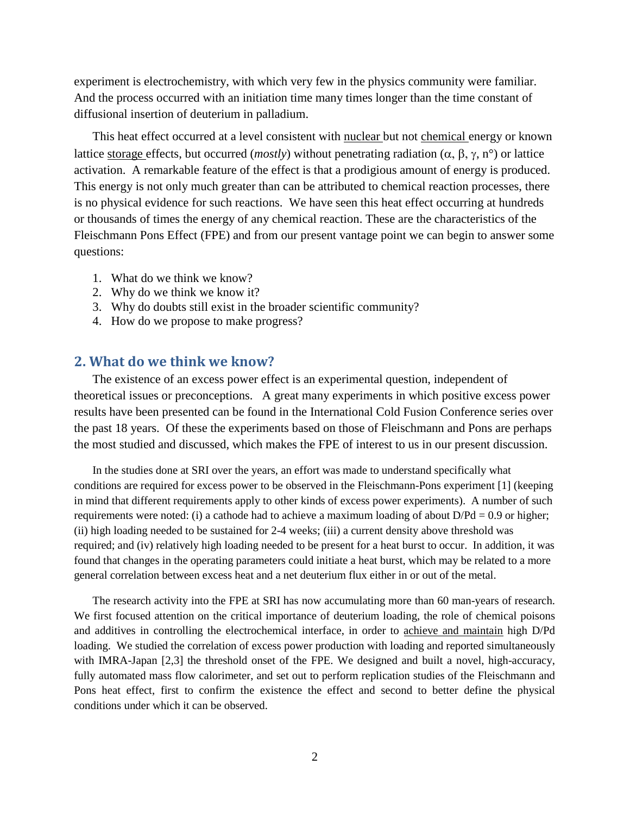experiment is electrochemistry, with which very few in the physics community were familiar. And the process occurred with an initiation time many times longer than the time constant of diffusional insertion of deuterium in palladium.

This heat effect occurred at a level consistent with nuclear but not chemical energy or known lattice storage effects, but occurred (*mostly*) without penetrating radiation (α, β, γ, n°) or lattice activation. A remarkable feature of the effect is that a prodigious amount of energy is produced. This energy is not only much greater than can be attributed to chemical reaction processes, there is no physical evidence for such reactions. We have seen this heat effect occurring at hundreds or thousands of times the energy of any chemical reaction. These are the characteristics of the Fleischmann Pons Effect (FPE) and from our present vantage point we can begin to answer some questions:

- 1. What do we think we know?
- 2. Why do we think we know it?
- 3. Why do doubts still exist in the broader scientific community?
- 4. How do we propose to make progress?

#### **2. What do we think we know?**

The existence of an excess power effect is an experimental question, independent of theoretical issues or preconceptions. A great many experiments in which positive excess power results have been presented can be found in the International Cold Fusion Conference series over the past 18 years. Of these the experiments based on those of Fleischmann and Pons are perhaps the most studied and discussed, which makes the FPE of interest to us in our present discussion.

In the studies done at SRI over the years, an effort was made to understand specifically what conditions are required for excess power to be observed in the Fleischmann-Pons experiment [1] (keeping in mind that different requirements apply to other kinds of excess power experiments). A number of such requirements were noted: (i) a cathode had to achieve a maximum loading of about  $D/Pd = 0.9$  or higher; (ii) high loading needed to be sustained for 2-4 weeks; (iii) a current density above threshold was required; and (iv) relatively high loading needed to be present for a heat burst to occur. In addition, it was found that changes in the operating parameters could initiate a heat burst, which may be related to a more general correlation between excess heat and a net deuterium flux either in or out of the metal.

The research activity into the FPE at SRI has now accumulating more than 60 man-years of research. We first focused attention on the critical importance of deuterium loading, the role of chemical poisons and additives in controlling the electrochemical interface, in order to achieve and maintain high D/Pd loading. We studied the correlation of excess power production with loading and reported simultaneously with IMRA-Japan [2,3] the threshold onset of the FPE. We designed and built a novel, high-accuracy, fully automated mass flow calorimeter, and set out to perform replication studies of the Fleischmann and Pons heat effect, first to confirm the existence the effect and second to better define the physical conditions under which it can be observed.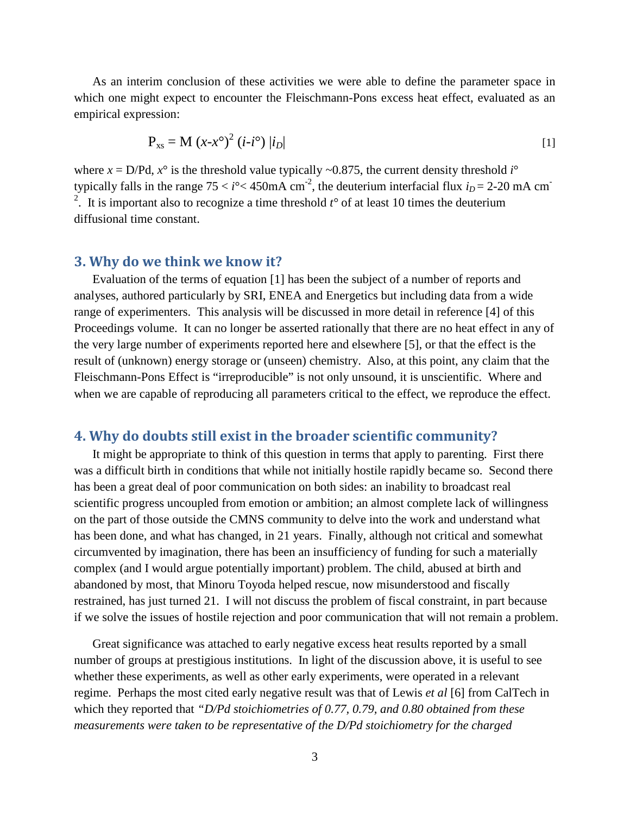As an interim conclusion of these activities we were able to define the parameter space in which one might expect to encounter the Fleischmann-Pons excess heat effect, evaluated as an empirical expression:

$$
P_{xs} = M (x-x^{\circ})^{2} (i-i^{\circ}) |i_{D}| \qquad [1]
$$

where  $x = D/Pd$ ,  $x^{\circ}$  is the threshold value typically ~0.875, the current density threshold *i*° typically falls in the range  $75 < i^{\circ} < 450$  mA cm<sup>-2</sup>, the deuterium interfacial flux  $i_D = 2-20$  mA cm<sup>-2</sup> <sup>2</sup>. It is important also to recognize a time threshold  $t^{\circ}$  of at least 10 times the deuterium diffusional time constant.

#### **3. Why do we think we know it?**

Evaluation of the terms of equation [1] has been the subject of a number of reports and analyses, authored particularly by SRI, ENEA and Energetics but including data from a wide range of experimenters. This analysis will be discussed in more detail in reference [4] of this Proceedings volume. It can no longer be asserted rationally that there are no heat effect in any of the very large number of experiments reported here and elsewhere [5], or that the effect is the result of (unknown) energy storage or (unseen) chemistry. Also, at this point, any claim that the Fleischmann-Pons Effect is "irreproducible" is not only unsound, it is unscientific. Where and when we are capable of reproducing all parameters critical to the effect, we reproduce the effect.

# **4. Why do doubts still exist in the broader scientific community?**

It might be appropriate to think of this question in terms that apply to parenting. First there was a difficult birth in conditions that while not initially hostile rapidly became so. Second there has been a great deal of poor communication on both sides: an inability to broadcast real scientific progress uncoupled from emotion or ambition; an almost complete lack of willingness on the part of those outside the CMNS community to delve into the work and understand what has been done, and what has changed, in 21 years. Finally, although not critical and somewhat circumvented by imagination, there has been an insufficiency of funding for such a materially complex (and I would argue potentially important) problem. The child, abused at birth and abandoned by most, that Minoru Toyoda helped rescue, now misunderstood and fiscally restrained, has just turned 21. I will not discuss the problem of fiscal constraint, in part because if we solve the issues of hostile rejection and poor communication that will not remain a problem.

Great significance was attached to early negative excess heat results reported by a small number of groups at prestigious institutions. In light of the discussion above, it is useful to see whether these experiments, as well as other early experiments, were operated in a relevant regime. Perhaps the most cited early negative result was that of Lewis *et al* [6] from CalTech in which they reported that *"D/Pd stoichiometries of 0.77, 0.79, and 0.80 obtained from these measurements were taken to be representative of the D/Pd stoichiometry for the charged*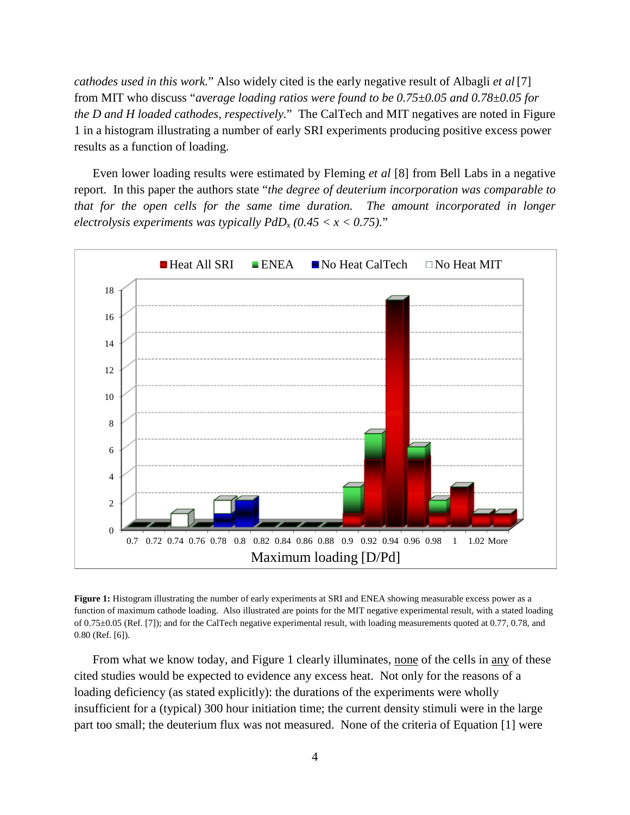*cathodes used in this work.*" Also widely cited is the early negative result of Albagli *et al* [7] from MIT who discuss "*average loading ratios were found to be 0.75±0.05 and 0.78±0.05 for the D and H loaded cathodes, respectively.*" The CalTech and MIT negatives are noted in Figure 1 in a histogram illustrating a number of early SRI experiments producing positive excess power results as a function of loading.

Even lower loading results were estimated by Fleming *et al* [8] from Bell Labs in a negative report. In this paper the authors state "*the degree of deuterium incorporation was comparable to that for the open cells for the same time duration. The amount incorporated in longer electrolysis experiments was typically PdD<sup>x</sup> (0.45 < x < 0.75).*"



**Figure 1:** Histogram illustrating the number of early experiments at SRI and ENEA showing measurable excess power as a function of maximum cathode loading. Also illustrated are points for the MIT negative experimental result, with a stated loading of 0.75±0.05 (Ref. [7]); and for the CalTech negative experimental result, with loading measurements quoted at 0.77, 0.78, and 0.80 (Ref. [6]).

From what we know today, and Figure 1 clearly illuminates, none of the cells in any of these cited studies would be expected to evidence any excess heat. Not only for the reasons of a loading deficiency (as stated explicitly): the durations of the experiments were wholly insufficient for a (typical) 300 hour initiation time; the current density stimuli were in the large part too small; the deuterium flux was not measured. None of the criteria of Equation [1] were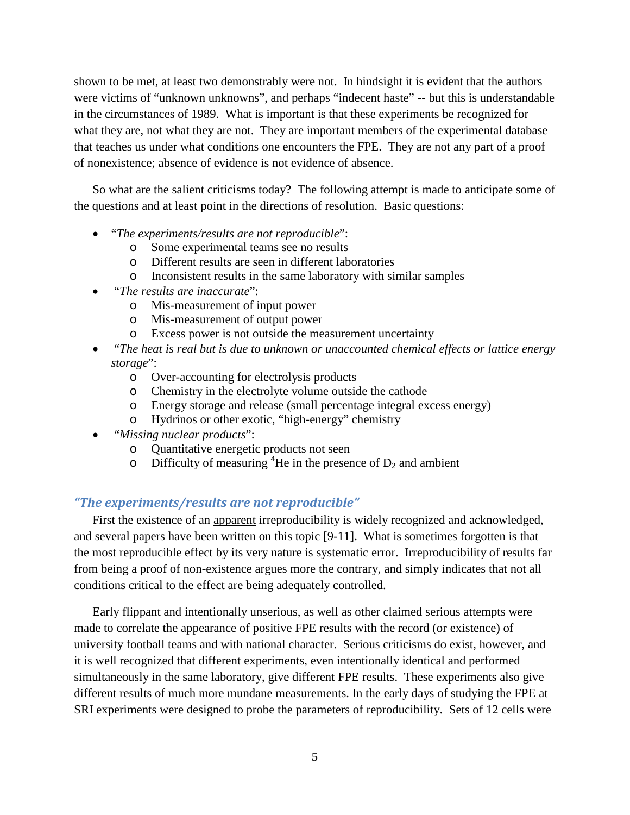shown to be met, at least two demonstrably were not. In hindsight it is evident that the authors were victims of "unknown unknowns", and perhaps "indecent haste" -- but this is understandable in the circumstances of 1989. What is important is that these experiments be recognized for what they are, not what they are not. They are important members of the experimental database that teaches us under what conditions one encounters the FPE. They are not any part of a proof of nonexistence; absence of evidence is not evidence of absence.

So what are the salient criticisms today? The following attempt is made to anticipate some of the questions and at least point in the directions of resolution. Basic questions:

- "*The experiments/results are not reproducible*":
	- o Some experimental teams see no results
	- o Different results are seen in different laboratories
	- o Inconsistent results in the same laboratory with similar samples
- "*The results are inaccurate*":
	- o Mis-measurement of input power
	- o Mis-measurement of output power
	- o Excess power is not outside the measurement uncertainty
- "*The heat is real but is due to unknown or unaccounted chemical effects or lattice energy storage*":
	- o Over-accounting for electrolysis products
	- o Chemistry in the electrolyte volume outside the cathode
	- o Energy storage and release (small percentage integral excess energy)
	- o Hydrinos or other exotic, "high-energy" chemistry
- "*Missing nuclear products*":
	- o Quantitative energetic products not seen
	- o Difficulty of measuring <sup>4</sup>He in the presence of  $D_2$  and ambient

## *"The experiments/results are not reproducible"*

First the existence of an apparent irreproducibility is widely recognized and acknowledged, and several papers have been written on this topic [9-11]. What is sometimes forgotten is that the most reproducible effect by its very nature is systematic error. Irreproducibility of results far from being a proof of non-existence argues more the contrary, and simply indicates that not all conditions critical to the effect are being adequately controlled.

Early flippant and intentionally unserious, as well as other claimed serious attempts were made to correlate the appearance of positive FPE results with the record (or existence) of university football teams and with national character. Serious criticisms do exist, however, and it is well recognized that different experiments, even intentionally identical and performed simultaneously in the same laboratory, give different FPE results. These experiments also give different results of much more mundane measurements. In the early days of studying the FPE at SRI experiments were designed to probe the parameters of reproducibility. Sets of 12 cells were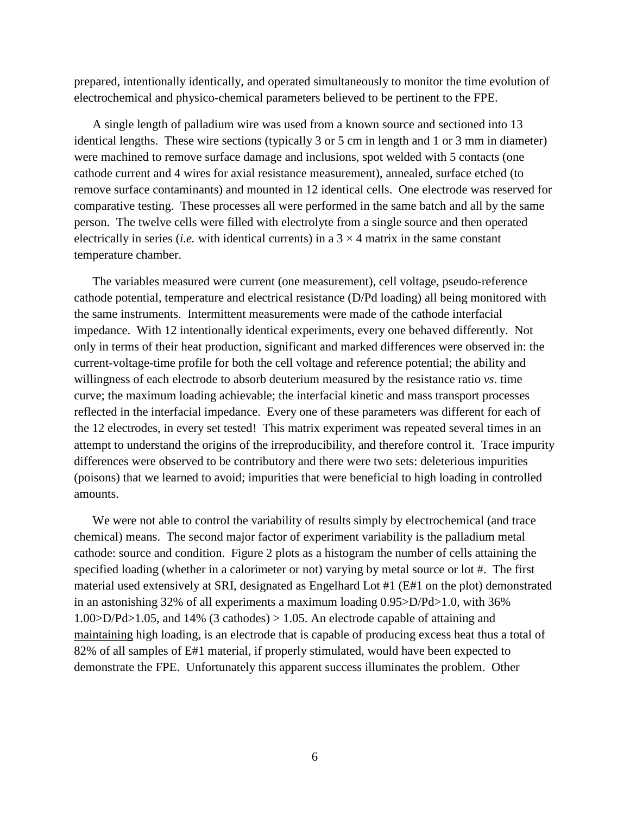prepared, intentionally identically, and operated simultaneously to monitor the time evolution of electrochemical and physico-chemical parameters believed to be pertinent to the FPE.

A single length of palladium wire was used from a known source and sectioned into 13 identical lengths. These wire sections (typically 3 or 5 cm in length and 1 or 3 mm in diameter) were machined to remove surface damage and inclusions, spot welded with 5 contacts (one cathode current and 4 wires for axial resistance measurement), annealed, surface etched (to remove surface contaminants) and mounted in 12 identical cells. One electrode was reserved for comparative testing. These processes all were performed in the same batch and all by the same person. The twelve cells were filled with electrolyte from a single source and then operated electrically in series *(i.e.* with identical currents) in a  $3 \times 4$  matrix in the same constant temperature chamber.

The variables measured were current (one measurement), cell voltage, pseudo-reference cathode potential, temperature and electrical resistance (D/Pd loading) all being monitored with the same instruments. Intermittent measurements were made of the cathode interfacial impedance. With 12 intentionally identical experiments, every one behaved differently. Not only in terms of their heat production, significant and marked differences were observed in: the current-voltage-time profile for both the cell voltage and reference potential; the ability and willingness of each electrode to absorb deuterium measured by the resistance ratio *vs*. time curve; the maximum loading achievable; the interfacial kinetic and mass transport processes reflected in the interfacial impedance. Every one of these parameters was different for each of the 12 electrodes, in every set tested! This matrix experiment was repeated several times in an attempt to understand the origins of the irreproducibility, and therefore control it. Trace impurity differences were observed to be contributory and there were two sets: deleterious impurities (poisons) that we learned to avoid; impurities that were beneficial to high loading in controlled amounts.

We were not able to control the variability of results simply by electrochemical (and trace chemical) means. The second major factor of experiment variability is the palladium metal cathode: source and condition. Figure 2 plots as a histogram the number of cells attaining the specified loading (whether in a calorimeter or not) varying by metal source or lot #. The first material used extensively at SRI, designated as Engelhard Lot #1 (E#1 on the plot) demonstrated in an astonishing 32% of all experiments a maximum loading 0.95>D/Pd>1.0, with 36% 1.00>D/Pd>1.05, and 14% (3 cathodes) > 1.05. An electrode capable of attaining and maintaining high loading, is an electrode that is capable of producing excess heat thus a total of 82% of all samples of E#1 material, if properly stimulated, would have been expected to demonstrate the FPE. Unfortunately this apparent success illuminates the problem. Other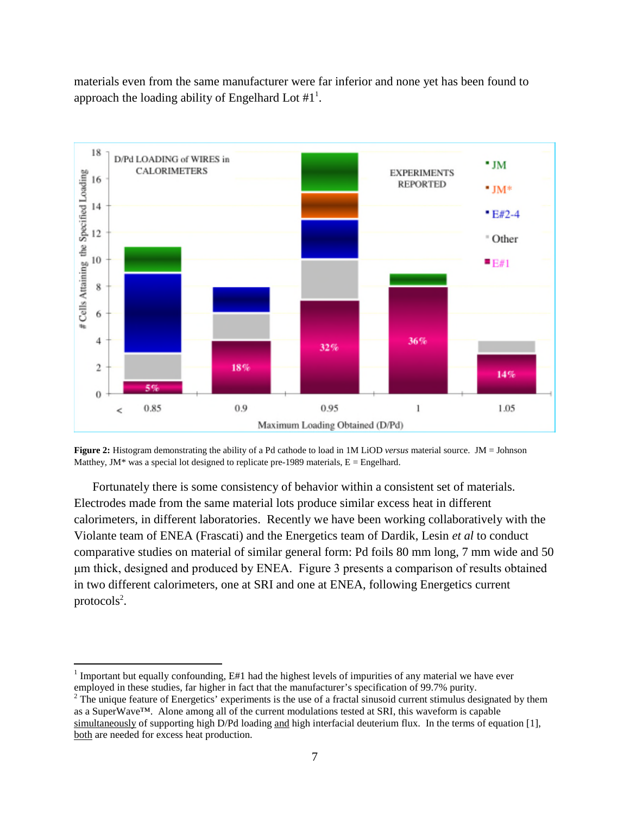materials even from the same manufacturer were far inferior and none yet has been found to approachthe loading ability of Engelhard Lot  $#1<sup>1</sup>$  $#1<sup>1</sup>$  $#1<sup>1</sup>$ .



**Figure 2:** Histogram demonstrating the ability of a Pd cathode to load in 1M LiOD *versus* material source. JM = Johnson Matthey, JM\* was a special lot designed to replicate pre-1989 materials,  $E =$  Engelhard.

Fortunately there is some consistency of behavior within a consistent set of materials. Electrodes made from the same material lots produce similar excess heat in different calorimeters, in different laboratories. Recently we have been working collaboratively with the Violante team of ENEA (Frascati) and the Energetics team of Dardik, Lesin *et al* to conduct comparative studies on material of similar general form: Pd foils 80 mm long, 7 mm wide and 50 μm thick, designed and produced by ENEA. Figure 3 presents a comparison of results obtained in two different calorimeters, one at SRI and one at ENEA, following Energetics current  $\text{proto}$ cols<sup>[2](#page-6-1)</sup>[.](#page-6-1)

<span id="page-6-0"></span><sup>&</sup>lt;sup>1</sup> Important but equally confounding, E#1 had the highest levels of impurities of any material we have ever employed in these studies, far higher in fact that the manufacturer's specification of 99.7% purity.

<span id="page-6-1"></span><sup>&</sup>lt;sup>2</sup> The unique feature of Energetics' experiments is the use of a fractal sinusoid current stimulus designated by them as a SuperWave™. Alone among all of the current modulations tested at SRI, this waveform is capable simultaneously of supporting high D/Pd loading and high interfacial deuterium flux. In the terms of equation [1], both are needed for excess heat production.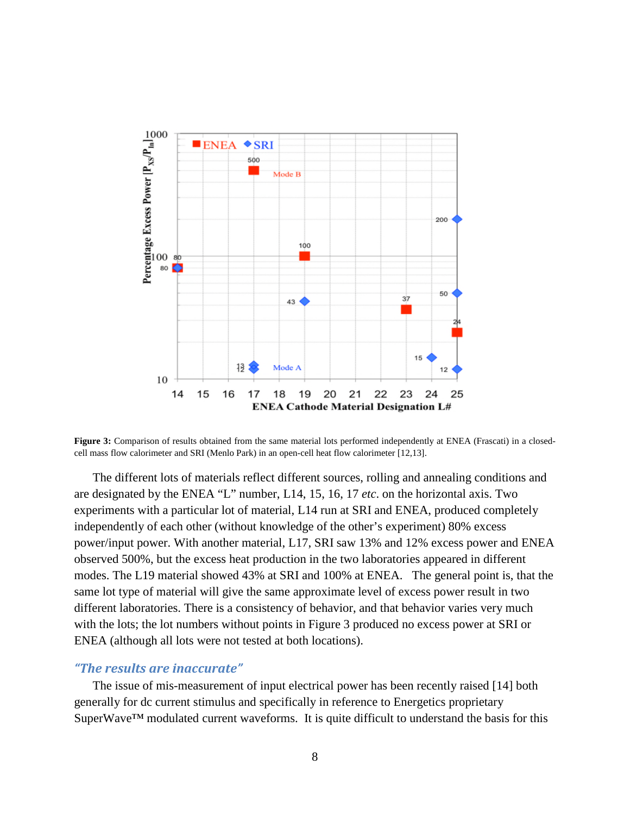

Figure 3: Comparison of results obtained from the same material lots performed independently at ENEA (Frascati) in a closedcell mass flow calorimeter and SRI (Menlo Park) in an open-cell heat flow calorimeter [12,13].

The different lots of materials reflect different sources, rolling and annealing conditions and are designated by the ENEA "L" number, L14, 15, 16, 17 *etc*. on the horizontal axis. Two experiments with a particular lot of material, L14 run at SRI and ENEA, produced completely independently of each other (without knowledge of the other's experiment) 80% excess power/input power. With another material, L17, SRI saw 13% and 12% excess power and ENEA observed 500%, but the excess heat production in the two laboratories appeared in different modes. The L19 material showed 43% at SRI and 100% at ENEA. The general point is, that the same lot type of material will give the same approximate level of excess power result in two different laboratories. There is a consistency of behavior, and that behavior varies very much with the lots; the lot numbers without points in Figure 3 produced no excess power at SRI or ENEA (although all lots were not tested at both locations).

## *"The results are inaccurate"*

The issue of mis-measurement of input electrical power has been recently raised [14] both generally for dc current stimulus and specifically in reference to Energetics proprietary SuperWave™ modulated current waveforms. It is quite difficult to understand the basis for this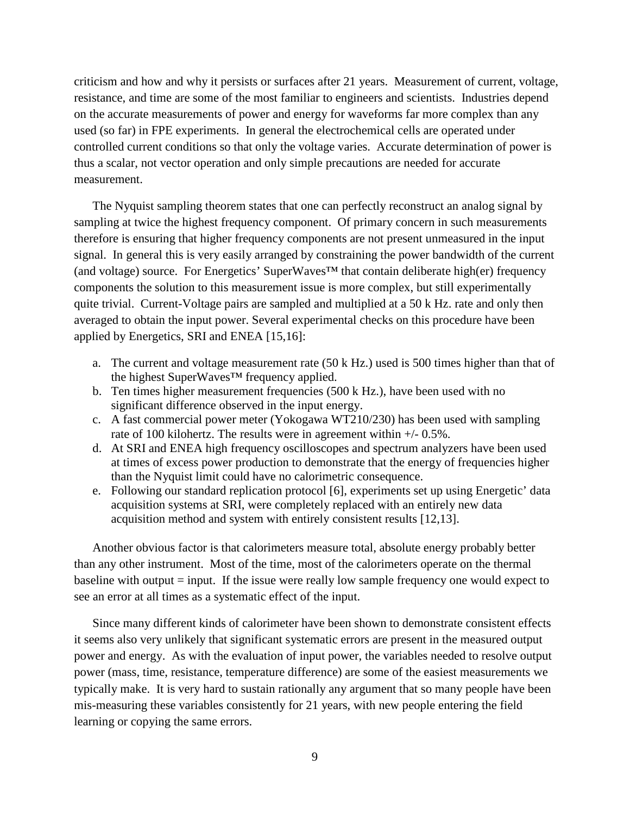criticism and how and why it persists or surfaces after 21 years. Measurement of current, voltage, resistance, and time are some of the most familiar to engineers and scientists. Industries depend on the accurate measurements of power and energy for waveforms far more complex than any used (so far) in FPE experiments. In general the electrochemical cells are operated under controlled current conditions so that only the voltage varies. Accurate determination of power is thus a scalar, not vector operation and only simple precautions are needed for accurate measurement.

The Nyquist sampling theorem states that one can perfectly reconstruct an analog signal by sampling at twice the highest frequency component. Of primary concern in such measurements therefore is ensuring that higher frequency components are not present unmeasured in the input signal. In general this is very easily arranged by constraining the power bandwidth of the current (and voltage) source. For Energetics' SuperWaves™ that contain deliberate high(er) frequency components the solution to this measurement issue is more complex, but still experimentally quite trivial. Current-Voltage pairs are sampled and multiplied at a 50 k Hz. rate and only then averaged to obtain the input power. Several experimental checks on this procedure have been applied by Energetics, SRI and ENEA [15,16]:

- a. The current and voltage measurement rate (50 k Hz.) used is 500 times higher than that of the highest SuperWaves™ frequency applied.
- b. Ten times higher measurement frequencies (500 k Hz.), have been used with no significant difference observed in the input energy.
- c. A fast commercial power meter (Yokogawa WT210/230) has been used with sampling rate of 100 kilohertz. The results were in agreement within +/- 0.5%.
- d. At SRI and ENEA high frequency oscilloscopes and spectrum analyzers have been used at times of excess power production to demonstrate that the energy of frequencies higher than the Nyquist limit could have no calorimetric consequence.
- e. Following our standard replication protocol [6], experiments set up using Energetic' data acquisition systems at SRI, were completely replaced with an entirely new data acquisition method and system with entirely consistent results [12,13].

Another obvious factor is that calorimeters measure total, absolute energy probably better than any other instrument. Most of the time, most of the calorimeters operate on the thermal baseline with output = input. If the issue were really low sample frequency one would expect to see an error at all times as a systematic effect of the input.

Since many different kinds of calorimeter have been shown to demonstrate consistent effects it seems also very unlikely that significant systematic errors are present in the measured output power and energy. As with the evaluation of input power, the variables needed to resolve output power (mass, time, resistance, temperature difference) are some of the easiest measurements we typically make. It is very hard to sustain rationally any argument that so many people have been mis-measuring these variables consistently for 21 years, with new people entering the field learning or copying the same errors.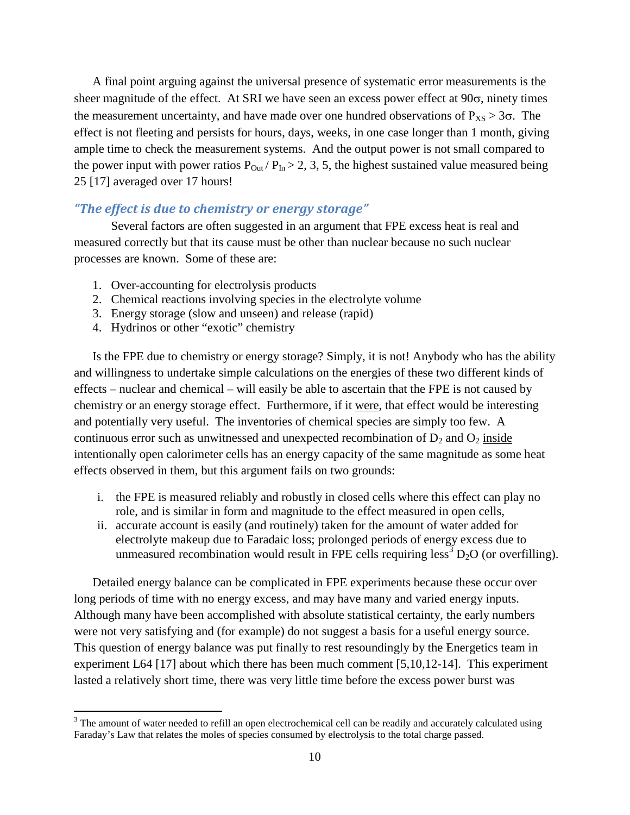A final point arguing against the universal presence of systematic error measurements is the sheer magnitude of the effect. At SRI we have seen an excess power effect at  $90\sigma$ , ninety times the measurement uncertainty, and have made over one hundred observations of  $P_{XS} > 3\sigma$ . The effect is not fleeting and persists for hours, days, weeks, in one case longer than 1 month, giving ample time to check the measurement systems. And the output power is not small compared to the power input with power ratios  $P_{\text{Out}}/P_{\text{In}} > 2, 3, 5$ , the highest sustained value measured being 25 [17] averaged over 17 hours!

#### *"The effect is due to chemistry or energy storage"*

Several factors are often suggested in an argument that FPE excess heat is real and measured correctly but that its cause must be other than nuclear because no such nuclear processes are known. Some of these are:

- 1. Over-accounting for electrolysis products
- 2. Chemical reactions involving species in the electrolyte volume
- 3. Energy storage (slow and unseen) and release (rapid)
- 4. Hydrinos or other "exotic" chemistry

Is the FPE due to chemistry or energy storage? Simply, it is not! Anybody who has the ability and willingness to undertake simple calculations on the energies of these two different kinds of effects – nuclear and chemical – will easily be able to ascertain that the FPE is not caused by chemistry or an energy storage effect. Furthermore, if it were, that effect would be interesting and potentially very useful. The inventories of chemical species are simply too few. A continuous error such as unwitnessed and unexpected recombination of  $D_2$  and  $O_2$  inside intentionally open calorimeter cells has an energy capacity of the same magnitude as some heat effects observed in them, but this argument fails on two grounds:

- i. the FPE is measured reliably and robustly in closed cells where this effect can play no role, and is similar in form and magnitude to the effect measured in open cells,
- ii. accurate account is easily (and routinely) taken for the amount of water added for electrolyte makeup due to Faradaic loss; prolonged periods of energy excess due to unmeasuredrecombination would result in FPE cells requiring less<sup>3</sup>  $D_2O$  (or overfilling).

Detailed energy balance can be complicated in FPE experiments because these occur over long periods of time with no energy excess, and may have many and varied energy inputs. Although many have been accomplished with absolute statistical certainty, the early numbers were not very satisfying and (for example) do not suggest a basis for a useful energy source. This question of energy balance was put finally to rest resoundingly by the Energetics team in experiment L64 [17] about which there has been much comment [5,10,12-14]. This experiment lasted a relatively short time, there was very little time before the excess power burst was

<span id="page-9-0"></span><sup>&</sup>lt;sup>3</sup> The amount of water needed to refill an open electrochemical cell can be readily and accurately calculated using Faraday's Law that relates the moles of species consumed by electrolysis to the total charge passed.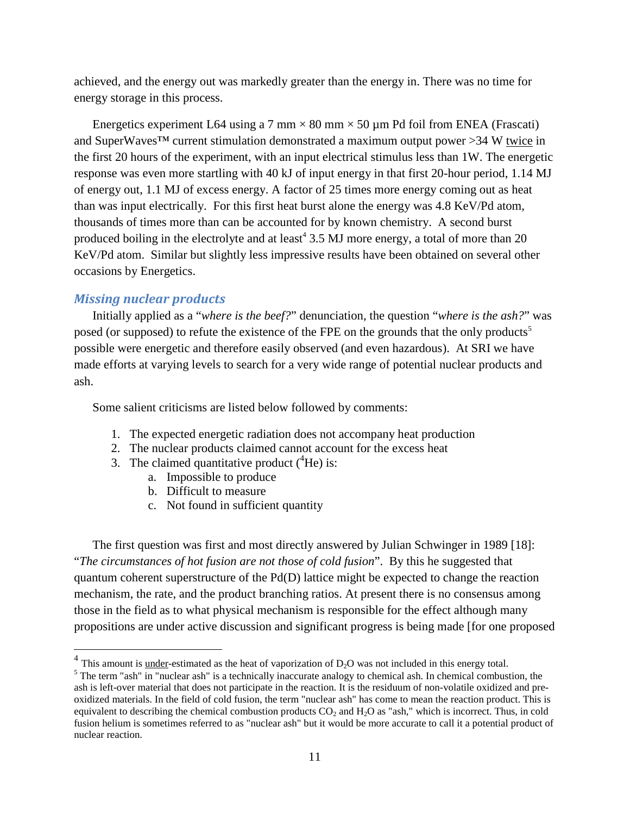achieved, and the energy out was markedly greater than the energy in. There was no time for energy storage in this process.

Energetics experiment L64 using a 7 mm  $\times$  80 mm  $\times$  50 µm Pd foil from ENEA (Frascati) and SuperWaves™ current stimulation demonstrated a maximum output power >34 W twice in the first 20 hours of the experiment, with an input electrical stimulus less than 1W. The energetic response was even more startling with 40 kJ of input energy in that first 20-hour period, 1.14 MJ of energy out, 1.1 MJ of excess energy. A factor of 25 times more energy coming out as heat than was input electrically. For this first heat burst alone the energy was 4.8 KeV/Pd atom, thousands of times more than can be accounted for by known chemistry. A second burst producedboiling in the electrolyte and at least<sup>4</sup> 3.5 MJ more energy, a total of more than 20 KeV/Pd atom. Similar but slightly less impressive results have been obtained on several other occasions by Energetics.

#### *Missing nuclear products*

Initially applied as a "*where is the beef?*" denunciation, the question "*where is the ash?*" was posed (or supposed) to refute the existence of the FPE on the grounds that the only products<sup>[5](#page-10-1)</sup> possible were energetic and therefore easily observed (and even hazardous). At SRI we have made efforts at varying levels to search for a very wide range of potential nuclear products and ash.

Some salient criticisms are listed below followed by comments:

- 1. The expected energetic radiation does not accompany heat production
- 2. The nuclear products claimed cannot account for the excess heat
- 3. The claimed quantitative product  $({}^{4}He)$  is:
	- a. Impossible to produce
	- b. Difficult to measure
	- c. Not found in sufficient quantity

The first question was first and most directly answered by Julian Schwinger in 1989 [18]: "*The circumstances of hot fusion are not those of cold fusion*". By this he suggested that quantum coherent superstructure of the Pd(D) lattice might be expected to change the reaction mechanism, the rate, and the product branching ratios. At present there is no consensus among those in the field as to what physical mechanism is responsible for the effect although many propositions are under active discussion and significant progress is being made [for one proposed

<span id="page-10-0"></span><sup>&</sup>lt;sup>4</sup> This amount is <u>under</u>-estimated as the heat of vaporization of  $D_2O$  was not included in this energy total.

<span id="page-10-1"></span> $<sup>5</sup>$  The term "ash" in "nuclear ash" is a technically inaccurate analogy to chemical ash. In chemical combustion, the</sup> ash is left-over material that does not participate in the reaction. It is the residuum of non-volatile oxidized and preoxidized materials. In the field of cold fusion, the term "nuclear ash" has come to mean the reaction product. This is equivalent to describing the chemical combustion products  $CO<sub>2</sub>$  and  $H<sub>2</sub>O$  as "ash," which is incorrect. Thus, in cold fusion helium is sometimes referred to as "nuclear ash" but it would be more accurate to call it a potential product of nuclear reaction.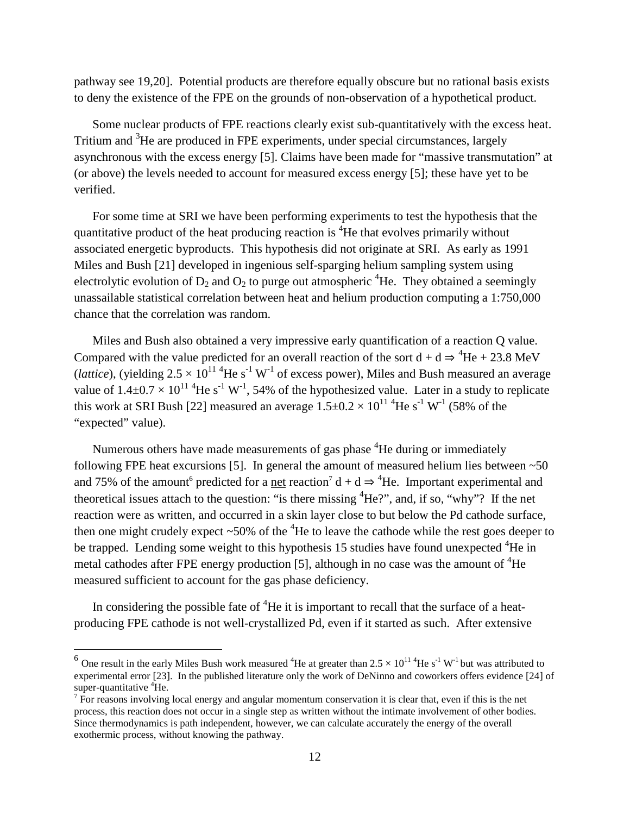pathway see 19,20]. Potential products are therefore equally obscure but no rational basis exists to deny the existence of the FPE on the grounds of non-observation of a hypothetical product.

Some nuclear products of FPE reactions clearly exist sub-quantitatively with the excess heat. Tritium and <sup>3</sup>He are produced in FPE experiments, under special circumstances, largely asynchronous with the excess energy [5]. Claims have been made for "massive transmutation" at (or above) the levels needed to account for measured excess energy [5]; these have yet to be verified.

For some time at SRI we have been performing experiments to test the hypothesis that the quantitative product of the heat producing reaction is  ${}^{4}$ He that evolves primarily without associated energetic byproducts. This hypothesis did not originate at SRI. As early as 1991 Miles and Bush [21] developed in ingenious self-sparging helium sampling system using electrolytic evolution of  $D_2$  and  $O_2$  to purge out atmospheric <sup>4</sup>He. They obtained a seemingly unassailable statistical correlation between heat and helium production computing a 1:750,000 chance that the correlation was random.

Miles and Bush also obtained a very impressive early quantification of a reaction Q value. Compared with the value predicted for an overall reaction of the sort  $d + d \Rightarrow {}^{4}He + 23.8 \text{ MeV}$ (*lattice*), (yielding  $2.5 \times 10^{11}$ <sup>4</sup>He s<sup>-1</sup> W<sup>-1</sup> of excess power), Miles and Bush measured an average value of  $1.4\pm 0.7 \times 10^{11}$  <sup>4</sup>He s<sup>-1</sup> W<sup>-1</sup>, 54% of the hypothesized value. Later in a study to replicate this work at SRI Bush [22] measured an average  $1.5\pm0.2 \times 10^{11}$  <sup>4</sup>He s<sup>-1</sup> W<sup>-1</sup> (58% of the "expected" value).

Numerous others have made measurements of gas phase <sup>4</sup>He during or immediately following FPE heat excursions [5]. In general the amount of measured helium lies between  $\sim 50$ and 75% of the amount<sup>[6](#page-11-0)</sup> predicted for a <u>net</u> reaction<sup>[7](#page-11-1)</sup> d + d  $\Rightarrow$  <sup>4</sup>He. Important experimental and theoretical issues attach to the question: "is there missing  ${}^{4}He$ ?", and, if so, "why"? If the net reaction were as written, and occurred in a skin layer close to but below the Pd cathode surface, then one might crudely expect  $\sim 50\%$  of the  ${}^{4}$ He to leave the cathode while the rest goes deeper to be trapped. Lending some weight to this hypothesis 15 studies have found unexpected <sup>4</sup>He in metal cathodes after FPE energy production [5], although in no case was the amount of  ${}^{4}$ He measured sufficient to account for the gas phase deficiency.

In considering the possible fate of  ${}^{4}$ He it is important to recall that the surface of a heatproducing FPE cathode is not well-crystallized Pd, even if it started as such. After extensive

<span id="page-11-0"></span><sup>&</sup>lt;sup>6</sup> One result in the early Miles Bush work measured <sup>4</sup>He at greater than  $2.5 \times 10^{11}$  <sup>4</sup>He s<sup>-1</sup> W<sup>-1</sup> but was attributed to experimental error [23]. In the published literature only the work of DeNinno and coworkers offers evidence [24] of super-quantitative  ${}^{4}$ He.

<span id="page-11-1"></span> $^7$  For reasons involving local energy and angular momentum conservation it is clear that, even if this is the net process, this reaction does not occur in a single step as written without the intimate involvement of other bodies. Since thermodynamics is path independent, however, we can calculate accurately the energy of the overall exothermic process, without knowing the pathway.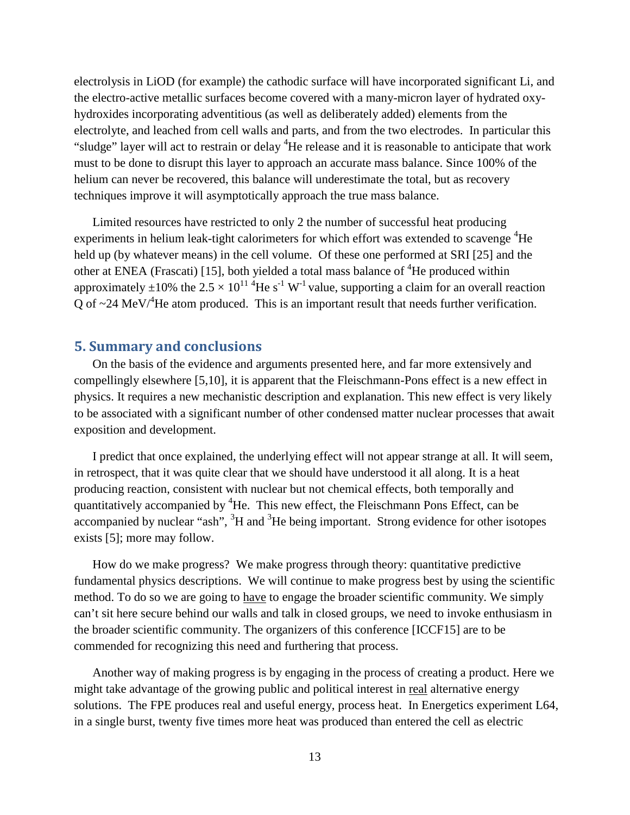electrolysis in LiOD (for example) the cathodic surface will have incorporated significant Li, and the electro-active metallic surfaces become covered with a many-micron layer of hydrated oxyhydroxides incorporating adventitious (as well as deliberately added) elements from the electrolyte, and leached from cell walls and parts, and from the two electrodes. In particular this "sludge" layer will act to restrain or delay <sup>4</sup>He release and it is reasonable to anticipate that work must to be done to disrupt this layer to approach an accurate mass balance. Since 100% of the helium can never be recovered, this balance will underestimate the total, but as recovery techniques improve it will asymptotically approach the true mass balance.

Limited resources have restricted to only 2 the number of successful heat producing experiments in helium leak-tight calorimeters for which effort was extended to scavenge  ${}^{4}$ He held up (by whatever means) in the cell volume. Of these one performed at SRI [25] and the other at ENEA (Frascati) [15], both yielded a total mass balance of <sup>4</sup>He produced within approximately  $\pm 10\%$  the 2.5  $\times$  10<sup>11</sup> <sup>4</sup>He s<sup>-1</sup> W<sup>-1</sup> value, supporting a claim for an overall reaction Q of  $\sim$ 24 MeV/ ${}^4$ He atom produced. This is an important result that needs further verification.

# **5. Summary and conclusions**

On the basis of the evidence and arguments presented here, and far more extensively and compellingly elsewhere [5,10], it is apparent that the Fleischmann-Pons effect is a new effect in physics. It requires a new mechanistic description and explanation. This new effect is very likely to be associated with a significant number of other condensed matter nuclear processes that await exposition and development.

I predict that once explained, the underlying effect will not appear strange at all. It will seem, in retrospect, that it was quite clear that we should have understood it all along. It is a heat producing reaction, consistent with nuclear but not chemical effects, both temporally and quantitatively accompanied by  ${}^{4}$ He. This new effect, the Fleischmann Pons Effect, can be accompanied by nuclear "ash",  ${}^{3}H$  and  ${}^{3}He$  being important. Strong evidence for other isotopes exists [5]; more may follow.

How do we make progress? We make progress through theory: quantitative predictive fundamental physics descriptions. We will continue to make progress best by using the scientific method. To do so we are going to have to engage the broader scientific community. We simply can't sit here secure behind our walls and talk in closed groups, we need to invoke enthusiasm in the broader scientific community. The organizers of this conference [ICCF15] are to be commended for recognizing this need and furthering that process.

Another way of making progress is by engaging in the process of creating a product. Here we might take advantage of the growing public and political interest in real alternative energy solutions. The FPE produces real and useful energy, process heat. In Energetics experiment L64, in a single burst, twenty five times more heat was produced than entered the cell as electric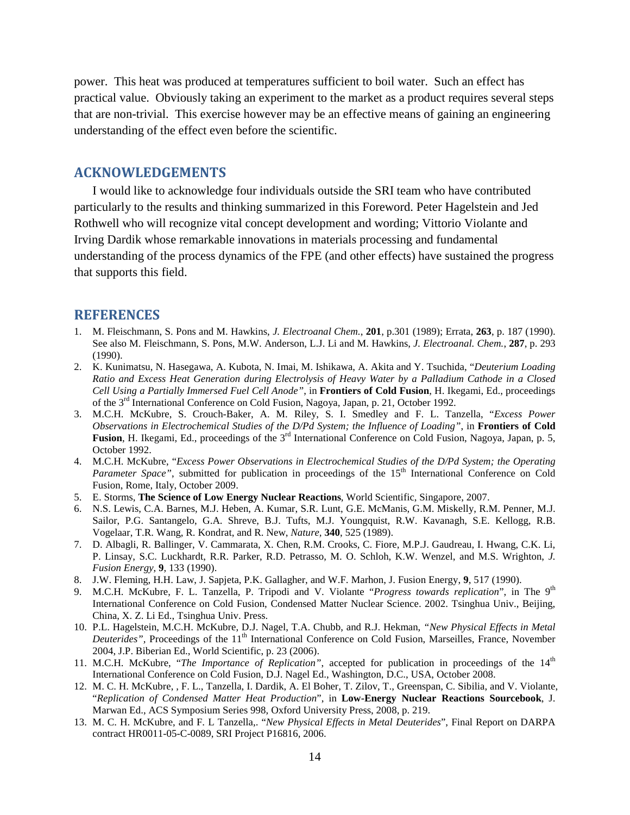power. This heat was produced at temperatures sufficient to boil water. Such an effect has practical value. Obviously taking an experiment to the market as a product requires several steps that are non-trivial. This exercise however may be an effective means of gaining an engineering understanding of the effect even before the scientific.

# **ACKNOWLEDGEMENTS**

I would like to acknowledge four individuals outside the SRI team who have contributed particularly to the results and thinking summarized in this Foreword. Peter Hagelstein and Jed Rothwell who will recognize vital concept development and wording; Vittorio Violante and Irving Dardik whose remarkable innovations in materials processing and fundamental understanding of the process dynamics of the FPE (and other effects) have sustained the progress that supports this field.

#### **REFERENCES**

- 1. M. Fleischmann, S. Pons and M. Hawkins, *J. Electroanal Chem.*, **201**, p.301 (1989); Errata, **263**, p. 187 (1990). See also M. Fleischmann, S. Pons, M.W. Anderson, L.J. Li and M. Hawkins, *J. Electroanal. Chem.*, **287**, p. 293 (1990).
- 2. K. Kunimatsu, N. Hasegawa, A. Kubota, N. Imai, M. Ishikawa, A. Akita and Y. Tsuchida, "*Deuterium Loading Ratio and Excess Heat Generation during Electrolysis of Heavy Water by a Palladium Cathode in a Closed Cell Using a Partially Immersed Fuel Cell Anode"*, in **Frontiers of Cold Fusion**, H. Ikegami, Ed., proceedings of the 3<sup>rd</sup> International Conference on Cold Fusion, Nagoya, Japan, p. 21, October 1992.
- 3. M.C.H. McKubre, S. Crouch-Baker, A. M. Riley, S. I. Smedley and F. L. Tanzella, "*Excess Power Observations in Electrochemical Studies of the D/Pd System; the Influence of Loading"*, in **Frontiers of Cold Fusion**, H. Ikegami, Ed., proceedings of the 3<sup>rd</sup> International Conference on Cold Fusion, Nagoya, Japan, p. 5, October 1992.
- 4. M.C.H. McKubre, "*Excess Power Observations in Electrochemical Studies of the D/Pd System; the Operating* Parameter Space", submitted for publication in proceedings of the 15<sup>th</sup> International Conference on Cold Fusion, Rome, Italy, October 2009.
- 5. E. Storms, **The Science of Low Energy Nuclear Reactions**, World Scientific, Singapore, 2007.
- 6. N.S. Lewis, C.A. Barnes, M.J. Heben, A. Kumar, S.R. Lunt, G.E. McManis, G.M. Miskelly, R.M. Penner, M.J. Sailor, P.G. Santangelo, G.A. Shreve, B.J. Tufts, M.J. Youngquist, R.W. Kavanagh, S.E. Kellogg, R.B. Vogelaar, T.R. Wang, R. Kondrat, and R. New, *Nature,* **340**, 525 (1989).
- 7. D. Albagli, R. Ballinger, V. Cammarata, X. Chen, R.M. Crooks, C. Fiore, M.P.J. Gaudreau, I. Hwang, C.K. Li, P. Linsay, S.C. Luckhardt, R.R. Parker, R.D. Petrasso, M. O. Schloh, K.W. Wenzel, and M.S. Wrighton, *J. Fusion Energy*, **9**, 133 (1990).
- 8. J.W. Fleming, H.H. Law, J. Sapjeta, P.K. Gallagher, and W.F. Marhon, J. Fusion Energy, **9**, 517 (1990).
- 9. M.C.H. McKubre, F. L. Tanzella, P. Tripodi and V. Violante "*Progress towards replication*", in The 9th International Conference on Cold Fusion, Condensed Matter Nuclear Science. 2002. Tsinghua Univ., Beijing, China, X. Z. Li Ed., Tsinghua Univ. Press.
- 10. P.L. Hagelstein, M.C.H. McKubre, D.J. Nagel, T.A. Chubb, and R.J. Hekman, *"New Physical Effects in Metal Deuterides"*, Proceedings of the 11<sup>th</sup> International Conference on Cold Fusion, Marseilles, France, November 2004, J.P. Biberian Ed., World Scientific, p. 23 (2006).
- 11. M.C.H. McKubre, "*The Importance of Replication*", accepted for publication in proceedings of the 14<sup>th</sup> International Conference on Cold Fusion, D.J. Nagel Ed., Washington, D.C., USA, October 2008.
- 12. M. C. H. McKubre, , F. L., Tanzella, I. Dardik, A. El Boher, T. Zilov, T., Greenspan, C. Sibilia, and V. Violante, "*Replication of Condensed Matter Heat Production*", in **Low-Energy Nuclear Reactions Sourcebook**, J. Marwan Ed., ACS Symposium Series 998, Oxford University Press, 2008, p. 219.
- 13. M. C. H. McKubre, and F. L Tanzella,. "*New Physical Effects in Metal Deuterides*", Final Report on DARPA contract HR0011-05-C-0089, SRI Project P16816, 2006.